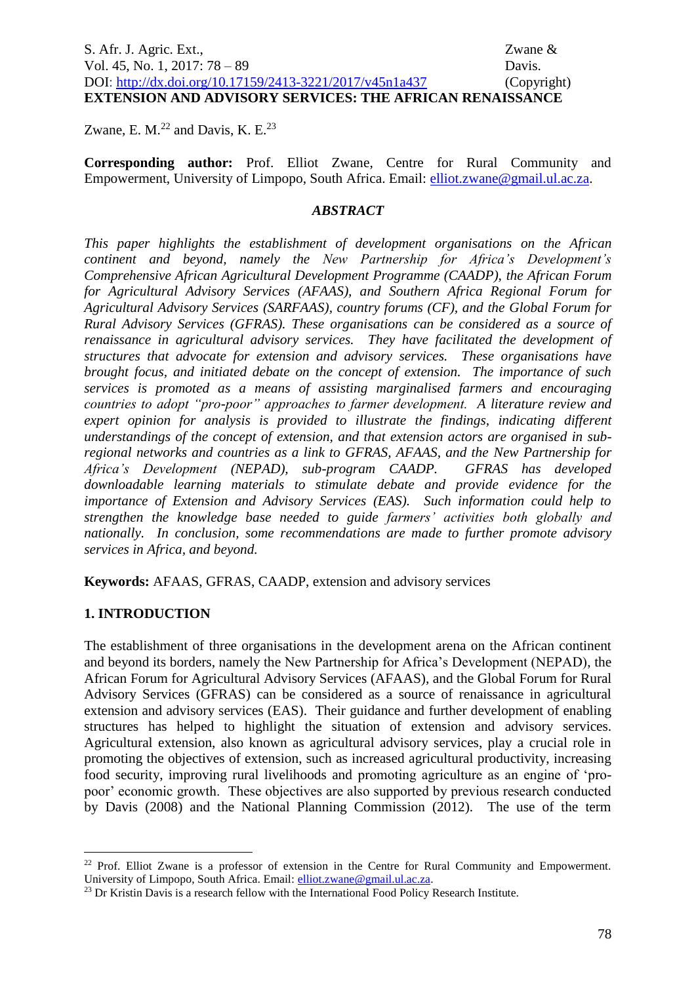# S. Afr. J. Agric. Ext., Zwane & Vol. 45, No. 1, 2017: 78 – 89 Davis. DOI:<http://dx.doi.org/10.17159/2413-3221/2017/v45n1a437> (Copyright) **EXTENSION AND ADVISORY SERVICES: THE AFRICAN RENAISSANCE**

Zwane, E. M. $^{22}$  and Davis, K. E. $^{23}$ 

**Corresponding author:** Prof. Elliot Zwane, Centre for Rural Community and Empowerment, University of Limpopo, South Africa. Email: [elliot.zwane@gmail.ul.ac.za.](mailto:elliot.zwane@gmail.ul.ac.za)

#### *ABSTRACT*

*This paper highlights the establishment of development organisations on the African continent and beyond, namely the New Partnership for Africa's Development's Comprehensive African Agricultural Development Programme (CAADP), the African Forum for Agricultural Advisory Services (AFAAS), and Southern Africa Regional Forum for Agricultural Advisory Services (SARFAAS), country forums (CF), and the Global Forum for Rural Advisory Services (GFRAS). These organisations can be considered as a source of renaissance in agricultural advisory services. They have facilitated the development of structures that advocate for extension and advisory services. These organisations have brought focus, and initiated debate on the concept of extension. The importance of such services is promoted as a means of assisting marginalised farmers and encouraging countries to adopt "pro-poor" approaches to farmer development. A literature review and expert opinion for analysis is provided to illustrate the findings, indicating different understandings of the concept of extension, and that extension actors are organised in subregional networks and countries as a link to GFRAS, AFAAS, and the New Partnership for Africa's Development (NEPAD), sub-program CAADP. GFRAS has developed downloadable learning materials to stimulate debate and provide evidence for the importance of Extension and Advisory Services (EAS). Such information could help to strengthen the knowledge base needed to guide farmers' activities both globally and nationally. In conclusion, some recommendations are made to further promote advisory services in Africa, and beyond.*

**Keywords:** AFAAS, GFRAS, CAADP, extension and advisory services

#### **1. INTRODUCTION**

<u>.</u>

The establishment of three organisations in the development arena on the African continent and beyond its borders, namely the New Partnership for Africa's Development (NEPAD), the African Forum for Agricultural Advisory Services (AFAAS), and the Global Forum for Rural Advisory Services (GFRAS) can be considered as a source of renaissance in agricultural extension and advisory services (EAS). Their guidance and further development of enabling structures has helped to highlight the situation of extension and advisory services. Agricultural extension, also known as agricultural advisory services, play a crucial role in promoting the objectives of extension, such as increased agricultural productivity, increasing food security, improving rural livelihoods and promoting agriculture as an engine of 'propoor' economic growth. These objectives are also supported by previous research conducted by Davis (2008) and the National Planning Commission (2012). The use of the term

<sup>&</sup>lt;sup>22</sup> Prof. Elliot Zwane is a professor of extension in the Centre for Rural Community and Empowerment. University of Limpopo, South Africa. Email[: elliot.zwane@gmail.ul.ac.za.](mailto:elliot.zwane@gmail.ul.ac.za)

<sup>&</sup>lt;sup>23</sup> Dr Kristin Davis is a research fellow with the International Food Policy Research Institute.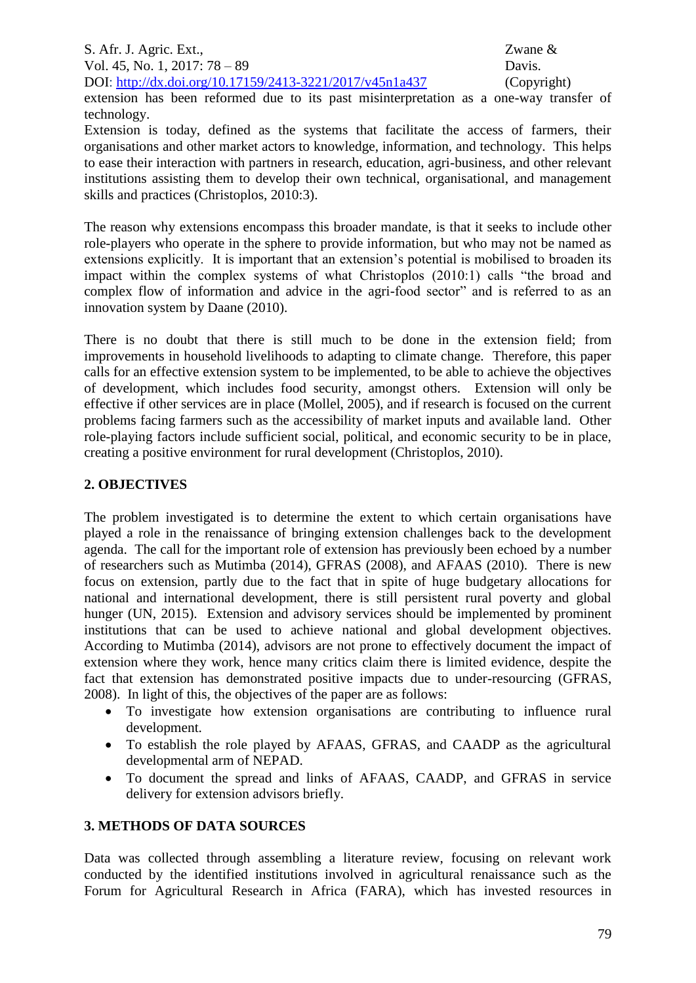extension has been reformed due to its past misinterpretation as a one-way transfer of technology.

Extension is today, defined as the systems that facilitate the access of farmers, their organisations and other market actors to knowledge, information, and technology. This helps to ease their interaction with partners in research, education, agri-business, and other relevant institutions assisting them to develop their own technical, organisational, and management skills and practices (Christoplos, 2010:3).

The reason why extensions encompass this broader mandate, is that it seeks to include other role-players who operate in the sphere to provide information, but who may not be named as extensions explicitly. It is important that an extension's potential is mobilised to broaden its impact within the complex systems of what Christoplos (2010:1) calls "the broad and complex flow of information and advice in the agri-food sector" and is referred to as an innovation system by Daane (2010).

There is no doubt that there is still much to be done in the extension field; from improvements in household livelihoods to adapting to climate change. Therefore, this paper calls for an effective extension system to be implemented, to be able to achieve the objectives of development, which includes food security, amongst others. Extension will only be effective if other services are in place (Mollel, 2005), and if research is focused on the current problems facing farmers such as the accessibility of market inputs and available land. Other role-playing factors include sufficient social, political, and economic security to be in place, creating a positive environment for rural development (Christoplos, 2010).

### **2. OBJECTIVES**

The problem investigated is to determine the extent to which certain organisations have played a role in the renaissance of bringing extension challenges back to the development agenda. The call for the important role of extension has previously been echoed by a number of researchers such as Mutimba (2014), GFRAS (2008), and AFAAS (2010). There is new focus on extension, partly due to the fact that in spite of huge budgetary allocations for national and international development, there is still persistent rural poverty and global hunger (UN, 2015). Extension and advisory services should be implemented by prominent institutions that can be used to achieve national and global development objectives. According to Mutimba (2014), advisors are not prone to effectively document the impact of extension where they work, hence many critics claim there is limited evidence, despite the fact that extension has demonstrated positive impacts due to under-resourcing (GFRAS, 2008). In light of this, the objectives of the paper are as follows:

- To investigate how extension organisations are contributing to influence rural development.
- To establish the role played by AFAAS, GFRAS, and CAADP as the agricultural developmental arm of NEPAD.
- To document the spread and links of AFAAS, CAADP, and GFRAS in service delivery for extension advisors briefly.

# **3. METHODS OF DATA SOURCES**

Data was collected through assembling a literature review, focusing on relevant work conducted by the identified institutions involved in agricultural renaissance such as the Forum for Agricultural Research in Africa (FARA), which has invested resources in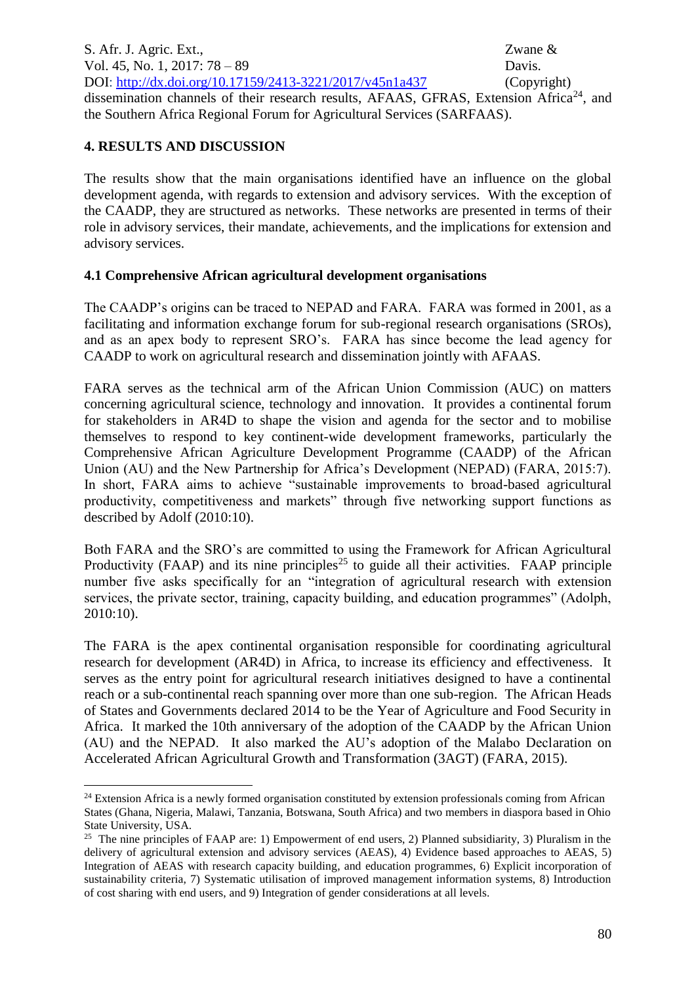S. Afr. J. Agric. Ext., Zwane & Vol. 45, No. 1, 2017: 78 – 89 Davis. DOI:<http://dx.doi.org/10.17159/2413-3221/2017/v45n1a437> (Copyright) dissemination channels of their research results, AFAAS, GFRAS, Extension Africa<sup>24</sup>, and the Southern Africa Regional Forum for Agricultural Services (SARFAAS).

### **4. RESULTS AND DISCUSSION**

1

The results show that the main organisations identified have an influence on the global development agenda, with regards to extension and advisory services. With the exception of the CAADP, they are structured as networks. These networks are presented in terms of their role in advisory services, their mandate, achievements, and the implications for extension and advisory services.

### **4.1 Comprehensive African agricultural development organisations**

The CAADP's origins can be traced to NEPAD and FARA. FARA was formed in 2001, as a facilitating and information exchange forum for sub-regional research organisations (SROs), and as an apex body to represent SRO's. FARA has since become the lead agency for CAADP to work on agricultural research and dissemination jointly with AFAAS.

FARA serves as the technical arm of the African Union Commission (AUC) on matters concerning agricultural science, technology and innovation. It provides a continental forum for stakeholders in AR4D to shape the vision and agenda for the sector and to mobilise themselves to respond to key continent-wide development frameworks, particularly the Comprehensive African Agriculture Development Programme (CAADP) of the African Union (AU) and the New Partnership for Africa's Development (NEPAD) (FARA, 2015:7). In short, FARA aims to achieve "sustainable improvements to broad-based agricultural productivity, competitiveness and markets" through five networking support functions as described by Adolf (2010:10).

Both FARA and the SRO's are committed to using the Framework for African Agricultural Productivity (FAAP) and its nine principles<sup>25</sup> to guide all their activities. FAAP principle number five asks specifically for an "integration of agricultural research with extension services, the private sector, training, capacity building, and education programmes" (Adolph, 2010:10).

The FARA is the apex continental organisation responsible for coordinating agricultural research for development (AR4D) in Africa, to increase its efficiency and effectiveness. It serves as the entry point for agricultural research initiatives designed to have a continental reach or a sub-continental reach spanning over more than one sub-region. The African Heads of States and Governments declared 2014 to be the Year of Agriculture and Food Security in Africa. It marked the 10th anniversary of the adoption of the CAADP by the African Union (AU) and the NEPAD. It also marked the AU's adoption of the Malabo Declaration on Accelerated African Agricultural Growth and Transformation (3AGT) (FARA, 2015).

<sup>&</sup>lt;sup>24</sup> Extension Africa is a newly formed organisation constituted by extension professionals coming from African States (Ghana, Nigeria, Malawi, Tanzania, Botswana, South Africa) and two members in diaspora based in Ohio State University, USA.

<sup>&</sup>lt;sup>25</sup> The nine principles of FAAP are: 1) Empowerment of end users, 2) Planned subsidiarity, 3) Pluralism in the delivery of agricultural extension and advisory services (AEAS), 4) Evidence based approaches to AEAS, 5) Integration of AEAS with research capacity building, and education programmes, 6) Explicit incorporation of sustainability criteria, 7) Systematic utilisation of improved management information systems, 8) Introduction of cost sharing with end users, and 9) Integration of gender considerations at all levels.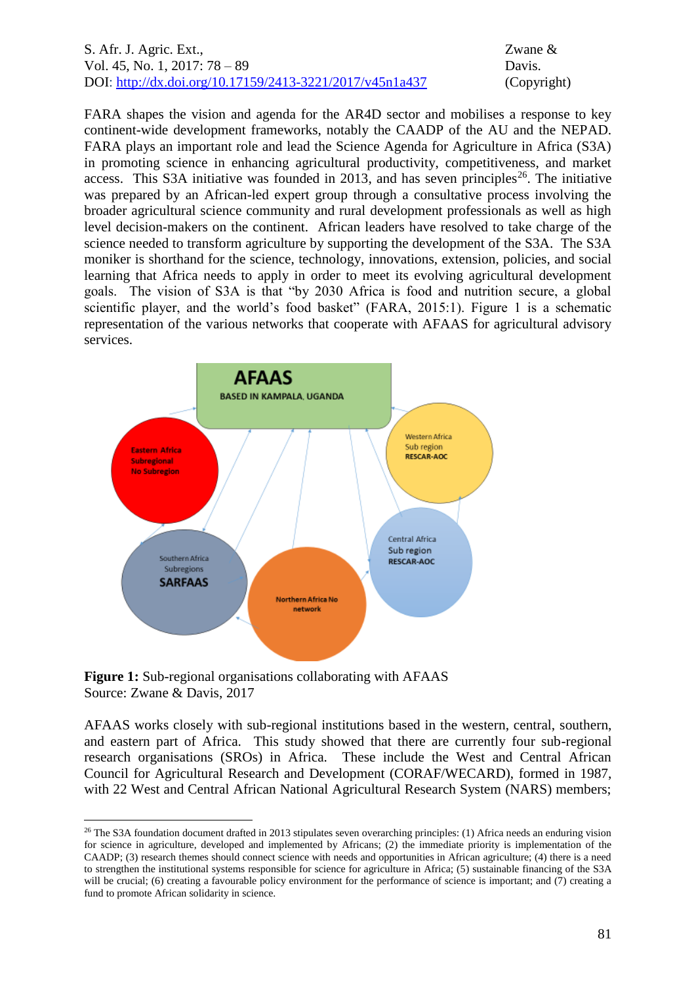FARA shapes the vision and agenda for the AR4D sector and mobilises a response to key continent-wide development frameworks, notably the CAADP of the AU and the NEPAD. FARA plays an important role and lead the Science Agenda for Agriculture in Africa (S3A) in promoting science in enhancing agricultural productivity, competitiveness, and market access. This S3A initiative was founded in 2013, and has seven principles<sup>26</sup>. The initiative was prepared by an African-led expert group through a consultative process involving the broader agricultural science community and rural development professionals as well as high level decision-makers on the continent. African leaders have resolved to take charge of the science needed to transform agriculture by supporting the development of the S3A. The S3A moniker is shorthand for the science, technology, innovations, extension, policies, and social learning that Africa needs to apply in order to meet its evolving agricultural development goals. The vision of S3A is that "by 2030 Africa is food and nutrition secure, a global scientific player, and the world's food basket" (FARA, 2015:1). Figure 1 is a schematic representation of the various networks that cooperate with AFAAS for agricultural advisory services.



**Figure 1:** Sub-regional organisations collaborating with AFAAS Source: Zwane & Davis, 2017

1

AFAAS works closely with sub-regional institutions based in the western, central, southern, and eastern part of Africa. This study showed that there are currently four sub-regional research organisations (SROs) in Africa. These include the West and Central African Council for Agricultural Research and Development (CORAF/WECARD), formed in 1987, with 22 West and Central African National Agricultural Research System (NARS) members;

 $26$  The S3A foundation document drafted in 2013 stipulates seven overarching principles: (1) Africa needs an enduring vision for science in agriculture, developed and implemented by Africans; (2) the immediate priority is implementation of the CAADP; (3) research themes should connect science with needs and opportunities in African agriculture; (4) there is a need to strengthen the institutional systems responsible for science for agriculture in Africa; (5) sustainable financing of the S3A will be crucial; (6) creating a favourable policy environment for the performance of science is important; and (7) creating a fund to promote African solidarity in science.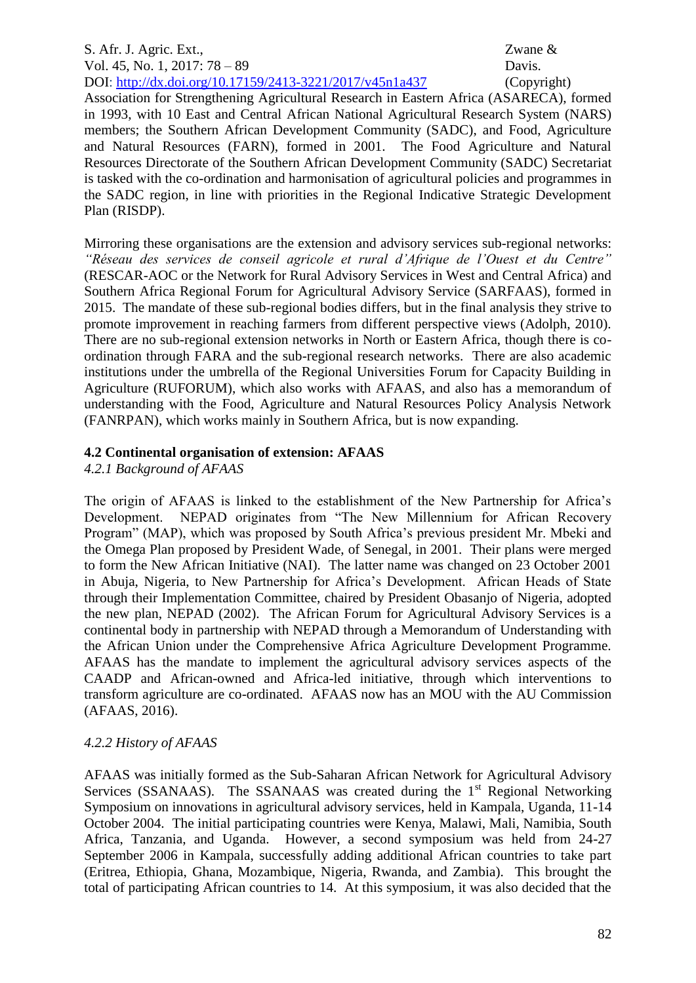Association for Strengthening Agricultural Research in Eastern Africa (ASARECA), formed in 1993, with 10 East and Central African National Agricultural Research System (NARS) members; the Southern African Development Community (SADC), and Food, Agriculture and Natural Resources (FARN), formed in 2001. The Food Agriculture and Natural Resources Directorate of the Southern African Development Community (SADC) Secretariat is tasked with the co-ordination and harmonisation of agricultural policies and programmes in the SADC region, in line with priorities in the Regional Indicative Strategic Development Plan (RISDP).

Mirroring these organisations are the extension and advisory services sub-regional networks: *"Réseau des services de conseil agricole et rural d'Afrique de l'Ouest et du Centre"*  (RESCAR-AOC or the Network for Rural Advisory Services in West and Central Africa) and Southern Africa Regional Forum for Agricultural Advisory Service (SARFAAS), formed in 2015. The mandate of these sub-regional bodies differs, but in the final analysis they strive to promote improvement in reaching farmers from different perspective views (Adolph, 2010). There are no sub-regional extension networks in North or Eastern Africa, though there is coordination through FARA and the sub-regional research networks. There are also academic institutions under the umbrella of the Regional Universities Forum for Capacity Building in Agriculture (RUFORUM), which also works with AFAAS, and also has a memorandum of understanding with the Food, Agriculture and Natural Resources Policy Analysis Network (FANRPAN), which works mainly in Southern Africa, but is now expanding.

# **4.2 Continental organisation of extension: AFAAS**

*4.2.1 Background of AFAAS* 

The origin of AFAAS is linked to the establishment of the New Partnership for Africa's Development. NEPAD originates from "The New Millennium for African Recovery Program" (MAP), which was proposed by South Africa's previous president Mr. Mbeki and the Omega Plan proposed by President Wade, of Senegal, in 2001. Their plans were merged to form the New African Initiative (NAI). The latter name was changed on 23 October 2001 in Abuja, Nigeria, to New Partnership for Africa's Development. African Heads of State through their Implementation Committee, chaired by President Obasanjo of Nigeria, adopted the new plan, NEPAD (2002). The African Forum for Agricultural Advisory Services is a continental body in partnership with NEPAD through a Memorandum of Understanding with the African Union under the Comprehensive Africa Agriculture Development Programme. AFAAS has the mandate to implement the agricultural advisory services aspects of the CAADP and African-owned and Africa-led initiative, through which interventions to transform agriculture are co-ordinated. AFAAS now has an MOU with the AU Commission (AFAAS, 2016).

# *4.2.2 History of AFAAS*

AFAAS was initially formed as the Sub-Saharan African Network for Agricultural Advisory Services (SSANAAS). The SSANAAS was created during the  $1<sup>st</sup>$  Regional Networking Symposium on innovations in agricultural advisory services, held in Kampala, Uganda, 11-14 October 2004. The initial participating countries were Kenya, Malawi, Mali, Namibia, South Africa, Tanzania, and Uganda. However, a second symposium was held from 24-27 September 2006 in Kampala, successfully adding additional African countries to take part (Eritrea, Ethiopia, Ghana, Mozambique, Nigeria, Rwanda, and Zambia). This brought the total of participating African countries to 14. At this symposium, it was also decided that the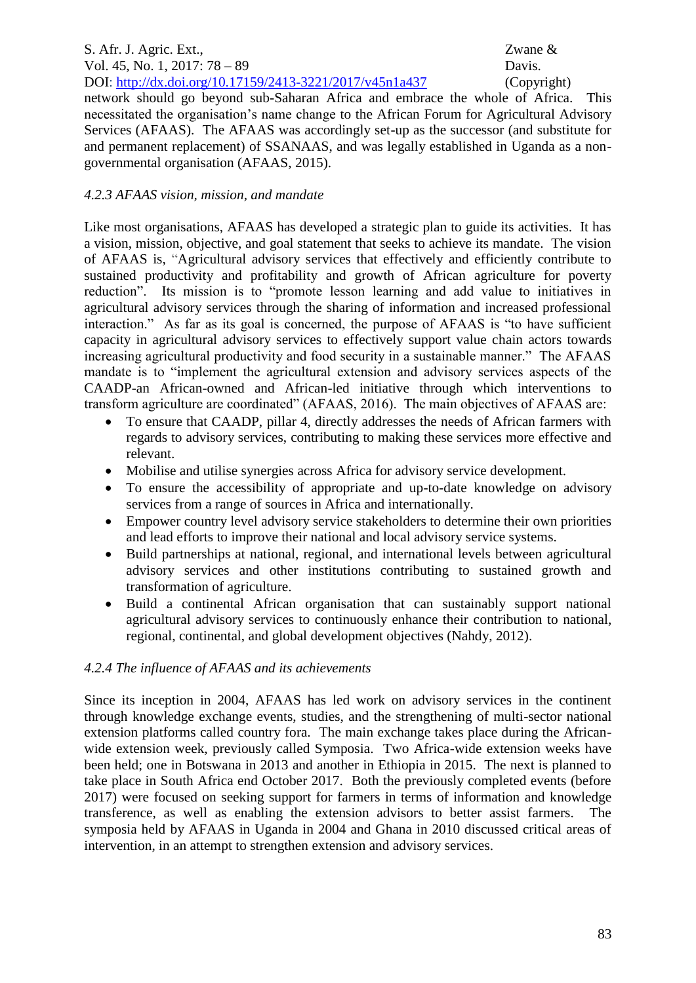network should go beyond sub-Saharan Africa and embrace the whole of Africa. This necessitated the organisation's name change to the African Forum for Agricultural Advisory Services (AFAAS). The AFAAS was accordingly set-up as the successor (and substitute for and permanent replacement) of SSANAAS, and was legally established in Uganda as a nongovernmental organisation (AFAAS, 2015).

# *4.2.3 AFAAS vision, mission, and mandate*

Like most organisations, AFAAS has developed a strategic plan to guide its activities. It has a vision, mission, objective, and goal statement that seeks to achieve its mandate. The vision of AFAAS is, "Agricultural advisory services that effectively and efficiently contribute to sustained productivity and profitability and growth of African agriculture for poverty reduction". Its mission is to "promote lesson learning and add value to initiatives in agricultural advisory services through the sharing of information and increased professional interaction." As far as its goal is concerned, the purpose of AFAAS is "to have sufficient capacity in agricultural advisory services to effectively support value chain actors towards increasing agricultural productivity and food security in a sustainable manner." The AFAAS mandate is to "implement the agricultural extension and advisory services aspects of the CAADP-an African-owned and African-led initiative through which interventions to transform agriculture are coordinated" (AFAAS, 2016). The main objectives of AFAAS are:

- To ensure that CAADP, pillar 4, directly addresses the needs of African farmers with regards to advisory services, contributing to making these services more effective and relevant.
- Mobilise and utilise synergies across Africa for advisory service development.
- To ensure the accessibility of appropriate and up-to-date knowledge on advisory services from a range of sources in Africa and internationally.
- Empower country level advisory service stakeholders to determine their own priorities and lead efforts to improve their national and local advisory service systems.
- Build partnerships at national, regional, and international levels between agricultural advisory services and other institutions contributing to sustained growth and transformation of agriculture.
- Build a continental African organisation that can sustainably support national agricultural advisory services to continuously enhance their contribution to national, regional, continental, and global development objectives (Nahdy, 2012).

# *4.2.4 The influence of AFAAS and its achievements*

Since its inception in 2004, AFAAS has led work on advisory services in the continent through knowledge exchange events, studies, and the strengthening of multi-sector national extension platforms called country fora. The main exchange takes place during the Africanwide extension week, previously called Symposia. Two Africa-wide extension weeks have been held; one in Botswana in 2013 and another in Ethiopia in 2015. The next is planned to take place in South Africa end October 2017. Both the previously completed events (before 2017) were focused on seeking support for farmers in terms of information and knowledge transference, as well as enabling the extension advisors to better assist farmers. The symposia held by AFAAS in Uganda in 2004 and Ghana in 2010 discussed critical areas of intervention, in an attempt to strengthen extension and advisory services.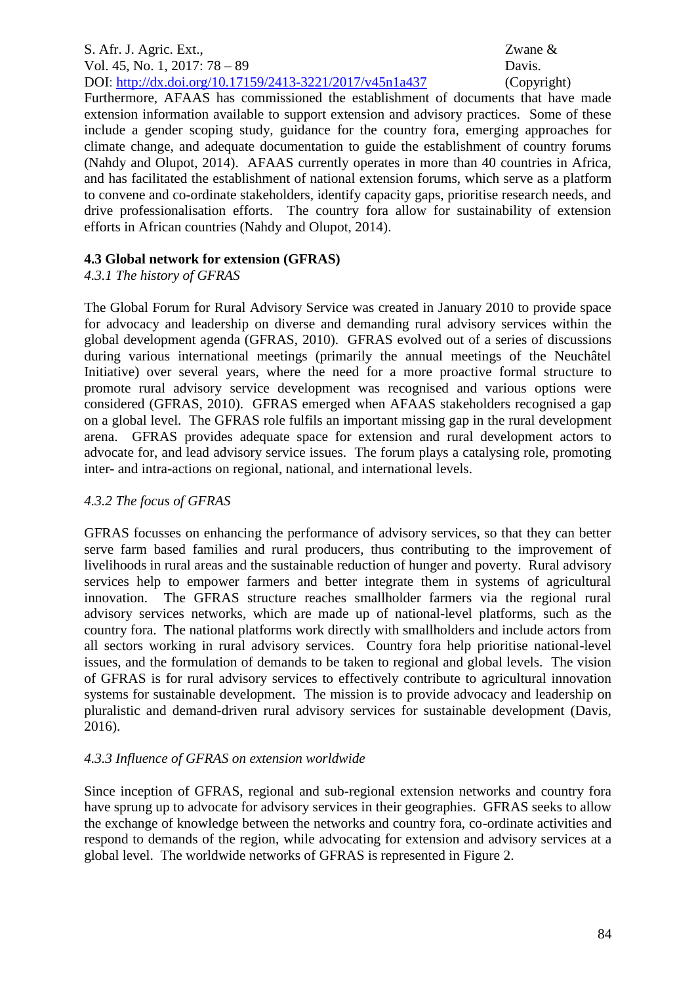Furthermore, AFAAS has commissioned the establishment of documents that have made extension information available to support extension and advisory practices. Some of these include a gender scoping study, guidance for the country fora, emerging approaches for climate change, and adequate documentation to guide the establishment of country forums (Nahdy and Olupot, 2014). AFAAS currently operates in more than 40 countries in Africa, and has facilitated the establishment of national extension forums, which serve as a platform to convene and co-ordinate stakeholders, identify capacity gaps, prioritise research needs, and drive professionalisation efforts. The country fora allow for sustainability of extension efforts in African countries (Nahdy and Olupot, 2014).

# **4.3 Global network for extension (GFRAS)**

# *4.3.1 The history of GFRAS*

The Global Forum for Rural Advisory Service was created in January 2010 to provide space for advocacy and leadership on diverse and demanding rural advisory services within the global development agenda (GFRAS, 2010). GFRAS evolved out of a series of discussions during various international meetings (primarily the annual meetings of the Neuchâtel Initiative) over several years, where the need for a more proactive formal structure to promote rural advisory service development was recognised and various options were considered (GFRAS, 2010). GFRAS emerged when AFAAS stakeholders recognised a gap on a global level. The GFRAS role fulfils an important missing gap in the rural development arena. GFRAS provides adequate space for extension and rural development actors to advocate for, and lead advisory service issues. The forum plays a catalysing role, promoting inter- and intra-actions on regional, national, and international levels.

# *4.3.2 The focus of GFRAS*

GFRAS focusses on enhancing the performance of advisory services, so that they can better serve farm based families and rural producers, thus contributing to the improvement of livelihoods in rural areas and the sustainable reduction of hunger and poverty. Rural advisory services help to empower farmers and better integrate them in systems of agricultural innovation. The GFRAS structure reaches smallholder farmers via the regional rural advisory services networks, which are made up of national-level platforms, such as the country fora. The national platforms work directly with smallholders and include actors from all sectors working in rural advisory services. Country fora help prioritise national-level issues, and the formulation of demands to be taken to regional and global levels. The vision of GFRAS is for rural advisory services to effectively contribute to agricultural innovation systems for sustainable development. The mission is to provide advocacy and leadership on pluralistic and demand-driven rural advisory services for sustainable development (Davis, 2016).

# *4.3.3 Influence of GFRAS on extension worldwide*

Since inception of GFRAS, regional and sub-regional extension networks and country fora have sprung up to advocate for advisory services in their geographies. GFRAS seeks to allow the exchange of knowledge between the networks and country fora, co-ordinate activities and respond to demands of the region, while advocating for extension and advisory services at a global level. The worldwide networks of GFRAS is represented in Figure 2.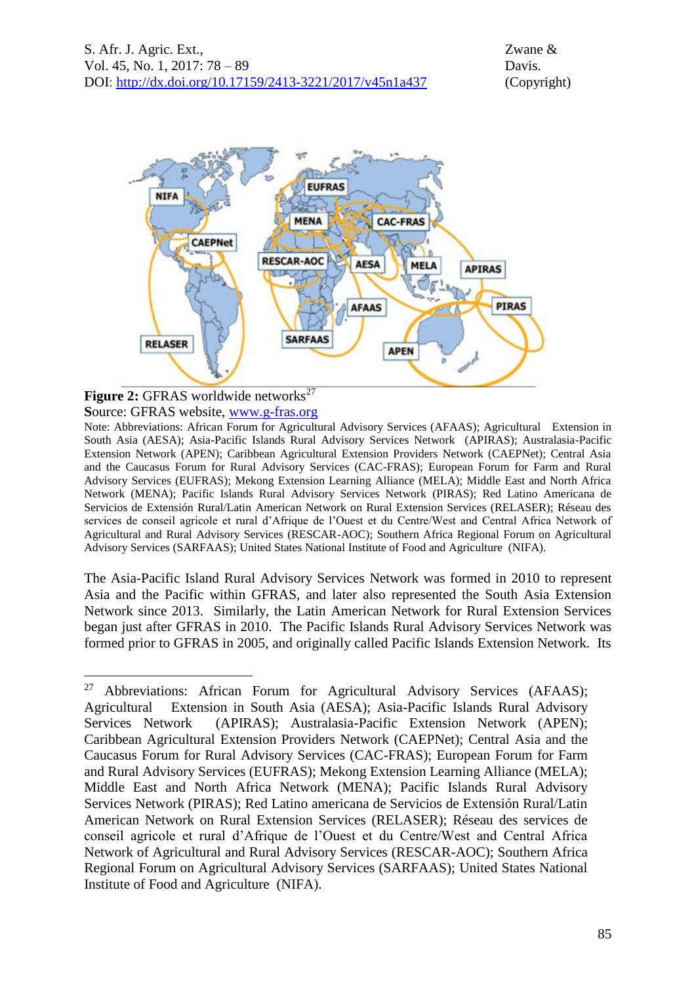

#### **Figure 2:** GFRAS worldwide networks<sup>27</sup> **S**ource: GFRAS website, [www.g-fras.org](http://www.g-fras.org/)

1

Note: Abbreviations: African Forum for Agricultural Advisory Services (AFAAS); Agricultural Extension in South Asia (AESA); Asia-Pacific Islands Rural Advisory Services Network (APIRAS); Australasia-Pacific Extension Network (APEN); Caribbean Agricultural Extension Providers Network (CAEPNet); Central Asia and the Caucasus Forum for Rural Advisory Services (CAC-FRAS); European Forum for Farm and Rural Advisory Services (EUFRAS); Mekong Extension Learning Alliance (MELA); Middle East and North Africa Network (MENA); Pacific Islands Rural Advisory Services Network (PIRAS); Red Latino Americana de Servicios de Extensión Rural/Latin American Network on Rural Extension Services (RELASER); Réseau des services de conseil agricole et rural d'Afrique de l'Ouest et du Centre/West and Central Africa Network of Agricultural and Rural Advisory Services (RESCAR-AOC); Southern Africa Regional Forum on Agricultural Advisory Services (SARFAAS); United States National Institute of Food and Agriculture (NIFA).

The Asia-Pacific Island Rural Advisory Services Network was formed in 2010 to represent Asia and the Pacific within GFRAS, and later also represented the South Asia Extension Network since 2013. Similarly, the Latin American Network for Rural Extension Services began just after GFRAS in 2010. The Pacific Islands Rural Advisory Services Network was formed prior to GFRAS in 2005, and originally called Pacific Islands Extension Network. Its

<sup>&</sup>lt;sup>27</sup> Abbreviations: African Forum for Agricultural Advisory Services (AFAAS); Agricultural Extension in South Asia (AESA); Asia-Pacific Islands Rural Advisory Services Network (APIRAS); Australasia-Pacific Extension Network (APEN); Caribbean Agricultural Extension Providers Network (CAEPNet); Central Asia and the Caucasus Forum for Rural Advisory Services (CAC-FRAS); European Forum for Farm and Rural Advisory Services (EUFRAS); Mekong Extension Learning Alliance (MELA); Middle East and North Africa Network (MENA); Pacific Islands Rural Advisory Services Network (PIRAS); Red Latino americana de Servicios de Extensión Rural/Latin American Network on Rural Extension Services (RELASER); Réseau des services de conseil agricole et rural d'Afrique de l'Ouest et du Centre/West and Central Africa Network of Agricultural and Rural Advisory Services (RESCAR-AOC); Southern Africa Regional Forum on Agricultural Advisory Services (SARFAAS); United States National Institute of Food and Agriculture (NIFA).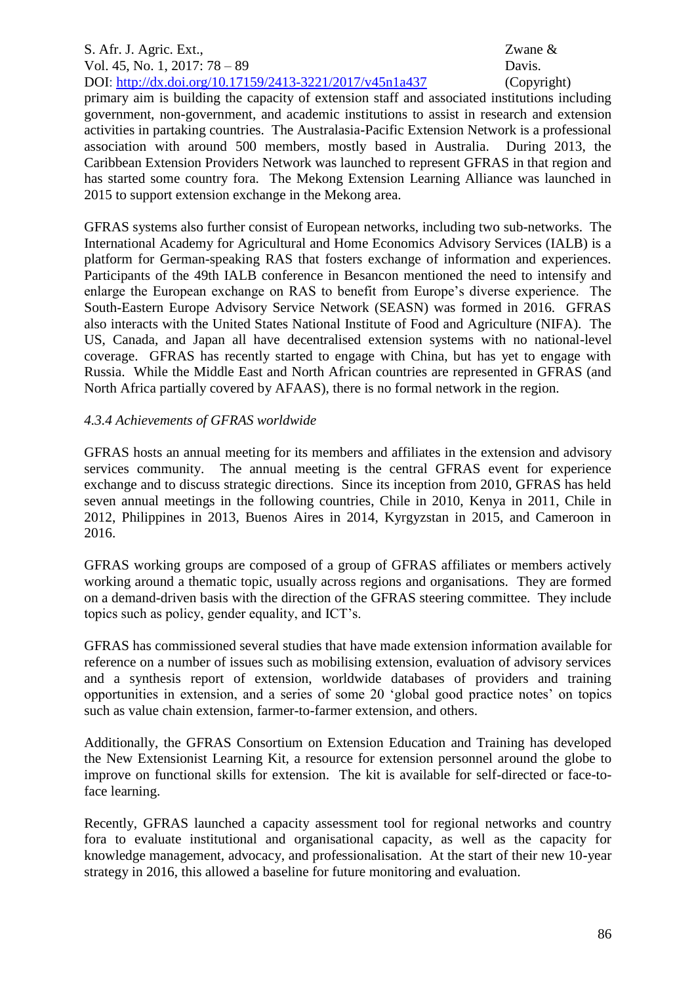primary aim is building the capacity of extension staff and associated institutions including government, non-government, and academic institutions to assist in research and extension activities in partaking countries. The Australasia-Pacific Extension Network is a professional association with around 500 members, mostly based in Australia. During 2013, the Caribbean Extension Providers Network was launched to represent GFRAS in that region and has started some country fora. The Mekong Extension Learning Alliance was launched in 2015 to support extension exchange in the Mekong area.

GFRAS systems also further consist of European networks, including two sub-networks. The International Academy for Agricultural and Home Economics Advisory Services (IALB) is a platform for German-speaking RAS that fosters exchange of information and experiences. Participants of the 49th IALB conference in Besancon mentioned the need to intensify and enlarge the European exchange on RAS to benefit from Europe's diverse experience. The South-Eastern Europe Advisory Service Network (SEASN) was formed in 2016. GFRAS also interacts with the United States National Institute of Food and Agriculture (NIFA). The US, Canada, and Japan all have decentralised extension systems with no national-level coverage. GFRAS has recently started to engage with China, but has yet to engage with Russia. While the Middle East and North African countries are represented in GFRAS (and North Africa partially covered by AFAAS), there is no formal network in the region.

# *4.3.4 Achievements of GFRAS worldwide*

GFRAS hosts an annual meeting for its members and affiliates in the extension and advisory services community. The annual meeting is the central GFRAS event for experience exchange and to discuss strategic directions. Since its inception from 2010, GFRAS has held seven annual meetings in the following countries, Chile in 2010, Kenya in 2011, Chile in 2012, Philippines in 2013, Buenos Aires in 2014, Kyrgyzstan in 2015, and Cameroon in 2016.

GFRAS working groups are composed of a group of GFRAS affiliates or members actively working around a thematic topic, usually across regions and organisations. They are formed on a demand-driven basis with the direction of the GFRAS steering committee. They include topics such as policy, gender equality, and ICT's.

GFRAS has commissioned several studies that have made extension information available for reference on a number of issues such as mobilising extension, evaluation of advisory services and a synthesis report of extension, worldwide databases of providers and training opportunities in extension, and a series of some 20 'global good practice notes' on topics such as value chain extension, farmer-to-farmer extension, and others.

Additionally, the GFRAS Consortium on Extension Education and Training has developed the New Extensionist Learning Kit, a resource for extension personnel around the globe to improve on functional skills for extension. The kit is available for self-directed or face-toface learning.

Recently, GFRAS launched a capacity assessment tool for regional networks and country fora to evaluate institutional and organisational capacity, as well as the capacity for knowledge management, advocacy, and professionalisation. At the start of their new 10-year strategy in 2016, this allowed a baseline for future monitoring and evaluation.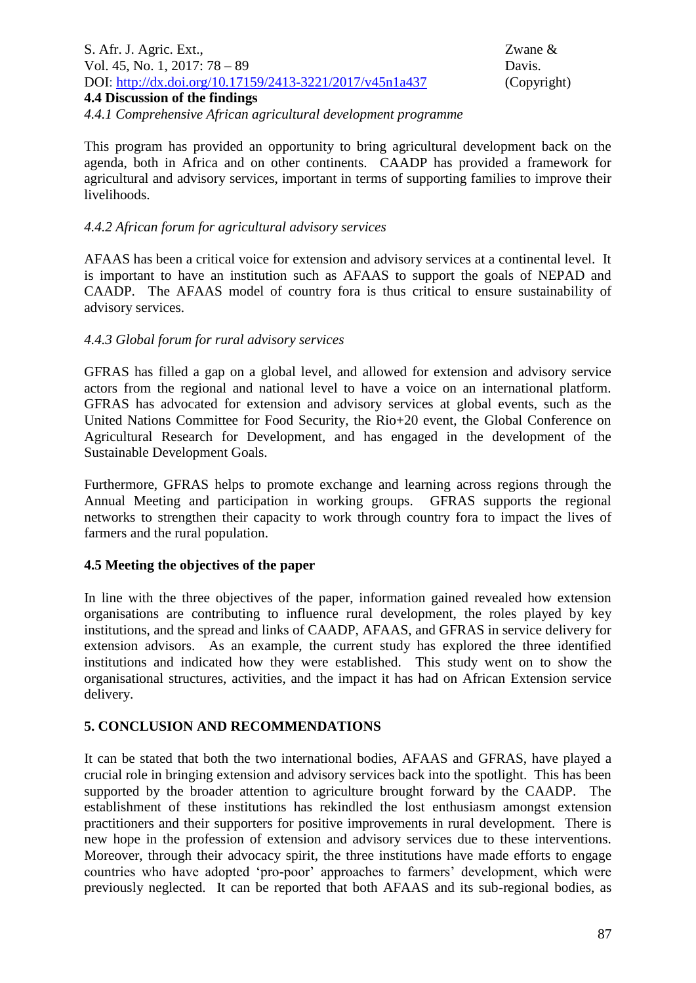S. Afr. J. Agric. Ext., Zwane & Vol. 45, No. 1, 2017: 78 – 89 Davis. DOI:<http://dx.doi.org/10.17159/2413-3221/2017/v45n1a437> (Copyright) **4.4 Discussion of the findings** *4.4.1 Comprehensive African agricultural development programme*

This program has provided an opportunity to bring agricultural development back on the agenda, both in Africa and on other continents. CAADP has provided a framework for agricultural and advisory services, important in terms of supporting families to improve their livelihoods.

### *4.4.2 African forum for agricultural advisory services*

AFAAS has been a critical voice for extension and advisory services at a continental level. It is important to have an institution such as AFAAS to support the goals of NEPAD and CAADP. The AFAAS model of country fora is thus critical to ensure sustainability of advisory services.

#### *4.4.3 Global forum for rural advisory services*

GFRAS has filled a gap on a global level, and allowed for extension and advisory service actors from the regional and national level to have a voice on an international platform. GFRAS has advocated for extension and advisory services at global events, such as the United Nations Committee for Food Security, the Rio+20 event, the Global Conference on Agricultural Research for Development, and has engaged in the development of the Sustainable Development Goals.

Furthermore, GFRAS helps to promote exchange and learning across regions through the Annual Meeting and participation in working groups. GFRAS supports the regional networks to strengthen their capacity to work through country fora to impact the lives of farmers and the rural population.

#### **4.5 Meeting the objectives of the paper**

In line with the three objectives of the paper, information gained revealed how extension organisations are contributing to influence rural development, the roles played by key institutions, and the spread and links of CAADP, AFAAS, and GFRAS in service delivery for extension advisors. As an example, the current study has explored the three identified institutions and indicated how they were established. This study went on to show the organisational structures, activities, and the impact it has had on African Extension service delivery.

# **5. CONCLUSION AND RECOMMENDATIONS**

It can be stated that both the two international bodies, AFAAS and GFRAS, have played a crucial role in bringing extension and advisory services back into the spotlight. This has been supported by the broader attention to agriculture brought forward by the CAADP. The establishment of these institutions has rekindled the lost enthusiasm amongst extension practitioners and their supporters for positive improvements in rural development. There is new hope in the profession of extension and advisory services due to these interventions. Moreover, through their advocacy spirit, the three institutions have made efforts to engage countries who have adopted 'pro-poor' approaches to farmers' development, which were previously neglected. It can be reported that both AFAAS and its sub-regional bodies, as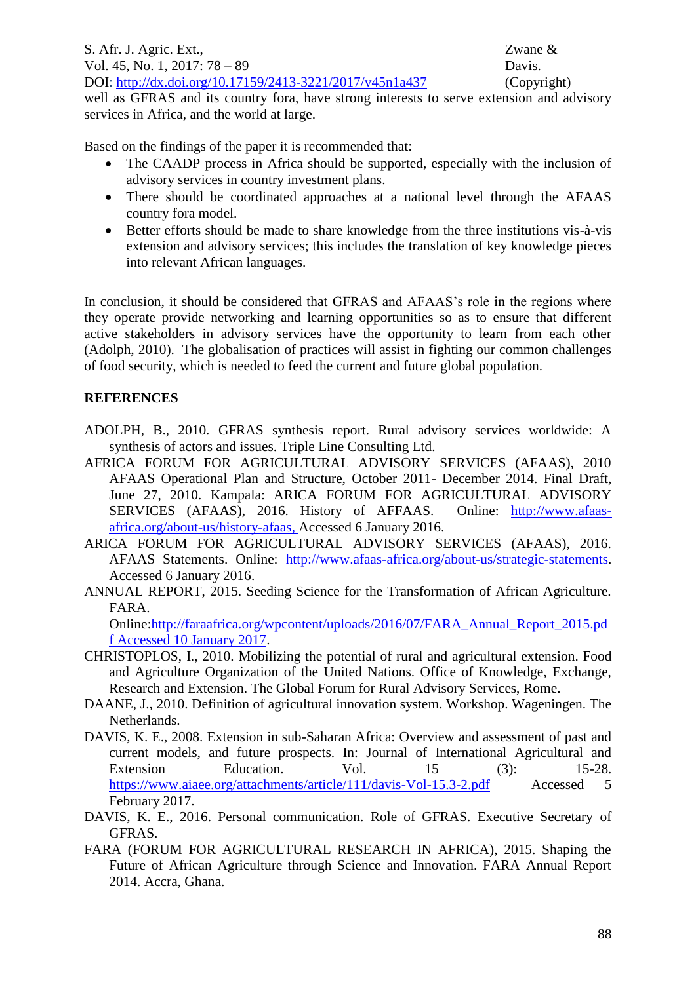well as GFRAS and its country fora, have strong interests to serve extension and advisory services in Africa, and the world at large.

Based on the findings of the paper it is recommended that:

- The CAADP process in Africa should be supported, especially with the inclusion of advisory services in country investment plans.
- There should be coordinated approaches at a national level through the AFAAS country fora model.
- Better efforts should be made to share knowledge from the three institutions vis-à-vis extension and advisory services; this includes the translation of key knowledge pieces into relevant African languages.

In conclusion, it should be considered that GFRAS and AFAAS's role in the regions where they operate provide networking and learning opportunities so as to ensure that different active stakeholders in advisory services have the opportunity to learn from each other (Adolph, 2010). The globalisation of practices will assist in fighting our common challenges of food security, which is needed to feed the current and future global population.

# **REFERENCES**

- ADOLPH, B., 2010. GFRAS synthesis report. Rural advisory services worldwide: A synthesis of actors and issues. Triple Line Consulting Ltd.
- AFRICA FORUM FOR AGRICULTURAL ADVISORY SERVICES (AFAAS), 2010 AFAAS Operational Plan and Structure, October 2011- December 2014. Final Draft, June 27, 2010. Kampala: ARICA FORUM FOR AGRICULTURAL ADVISORY SERVICES (AFAAS), 2016. History of AFFAAS. Online: [http://www.afaas](http://www.afaas-africa.org/about-us/history-afaas)[africa.org/about-us/history-afaas,](http://www.afaas-africa.org/about-us/history-afaas) Accessed 6 January 2016.
- ARICA FORUM FOR AGRICULTURAL ADVISORY SERVICES (AFAAS), 2016. AFAAS Statements. Online: [http://www.afaas-africa.org/about-us/strategic-statements.](http://www.afaas-africa.org/about-us/strategic-statements) Accessed 6 January 2016.
- ANNUAL REPORT, 2015. Seeding Science for the Transformation of African Agriculture. FARA.

Online[:http://faraafrica.org/wpcontent/uploads/2016/07/FARA\\_Annual\\_Report\\_2015.pd](http://faraafrica.org/wpcontent/uploads/2016/07/FARA_Annual_Report_2015.pdf%20Accessed%2010%20January%202017) [f Accessed 10 January 2017.](http://faraafrica.org/wpcontent/uploads/2016/07/FARA_Annual_Report_2015.pdf%20Accessed%2010%20January%202017)

- CHRISTOPLOS, I., 2010. Mobilizing the potential of rural and agricultural extension. Food and Agriculture Organization of the United Nations. Office of Knowledge, Exchange, Research and Extension. The Global Forum for Rural Advisory Services, Rome.
- DAANE, J., 2010. Definition of agricultural innovation system. Workshop. Wageningen. The Netherlands.
- DAVIS, K. E., 2008. Extension in sub-Saharan Africa: Overview and assessment of past and current models, and future prospects. In: Journal of International Agricultural and Extension Education. Vol. 15 (3): 15-28. <https://www.aiaee.org/attachments/article/111/davis-Vol-15.3-2.pdf>Accessed 5 February 2017.
- DAVIS, K. E., 2016. Personal communication. Role of GFRAS. Executive Secretary of GFRAS.
- FARA (FORUM FOR AGRICULTURAL RESEARCH IN AFRICA), 2015. Shaping the Future of African Agriculture through Science and Innovation. FARA Annual Report 2014. Accra, Ghana.